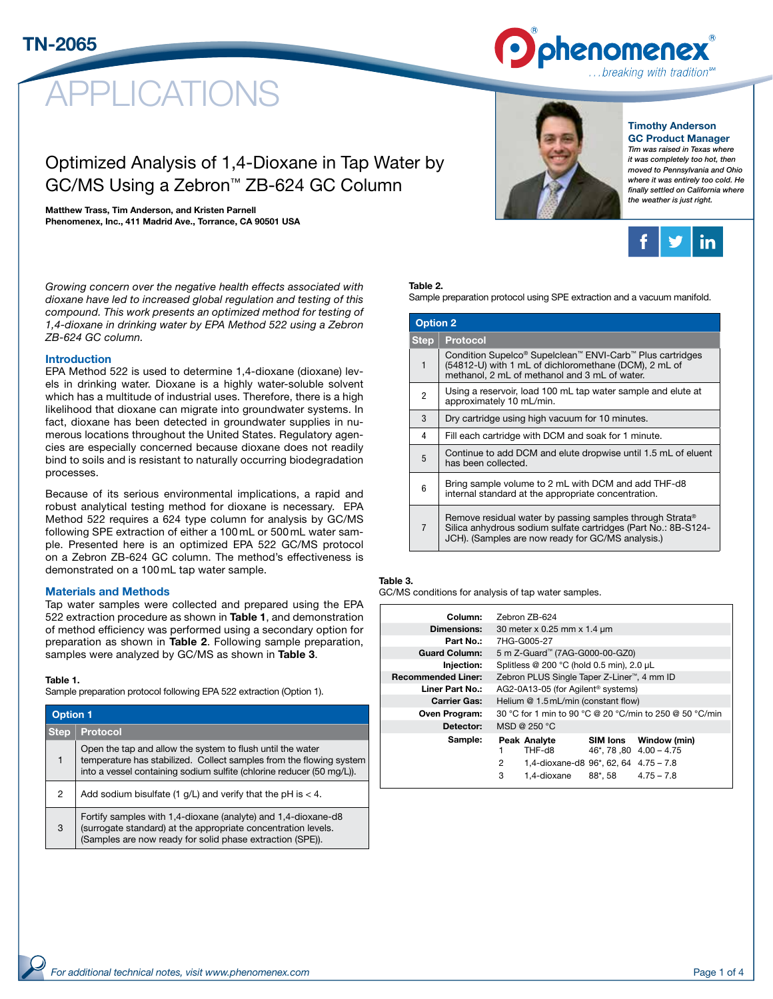

# **LICATIONS**

## Optimized Analysis of 1,4-Dioxane in Tap Water by GC/MS Using a Zebron™ ZB-624 GC Column

#### Matthew Trass, Tim Anderson, and Kristen Parnell

Phenomenex, Inc., 411 Madrid Ave., Torrance, CA 90501 USA

#### Timothy Anderson GC Product Manager

*Tim was raised in Texas where it was completely too hot, then moved to Pennsylvania and Ohio where it was entirely too cold. He finally settled on California where the weather is just right.*



*Growing concern over the negative health effects associated with dioxane have led to increased global regulation and testing of this compound. This work presents an optimized method for testing of 1,4-dioxane in drinking water by EPA Method 522 using a Zebron ZB-624 GC column.*

#### Introduction

EPA Method 522 is used to determine 1,4-dioxane (dioxane) levels in drinking water. Dioxane is a highly water-soluble solvent which has a multitude of industrial uses. Therefore, there is a high likelihood that dioxane can migrate into groundwater systems. In fact, dioxane has been detected in groundwater supplies in numerous locations throughout the United States. Regulatory agencies are especially concerned because dioxane does not readily bind to soils and is resistant to naturally occurring biodegradation processes.

Because of its serious environmental implications, a rapid and robust analytical testing method for dioxane is necessary. EPA Method 522 requires a 624 type column for analysis by GC/MS following SPE extraction of either a 100 mL or 500 mL water sample. Presented here is an optimized EPA 522 GC/MS protocol on a Zebron ZB-624 GC column. The method's effectiveness is demonstrated on a 100 mL tap water sample.

#### Materials and Methods

Tap water samples were collected and prepared using the EPA 522 extraction procedure as shown in Table 1, and demonstration of method efficiency was performed using a secondary option for preparation as shown in Table 2. Following sample preparation, samples were analyzed by GC/MS as shown in **Table 3**.

#### Table 1.

Sample preparation protocol following EPA 522 extraction (Option 1).

| <b>Option 1</b> |                                                                                                                                                                                                            |  |  |
|-----------------|------------------------------------------------------------------------------------------------------------------------------------------------------------------------------------------------------------|--|--|
| <b>Step</b>     | <b>Protocol</b>                                                                                                                                                                                            |  |  |
|                 | Open the tap and allow the system to flush until the water<br>temperature has stabilized. Collect samples from the flowing system<br>into a vessel containing sodium sulfite (chlorine reducer (50 mg/L)). |  |  |
| 2               | Add sodium bisulfate (1 $g/L$ ) and verify that the pH is < 4.                                                                                                                                             |  |  |
| 3               | Fortify samples with 1,4-dioxane (analyte) and 1,4-dioxane-d8<br>(surrogate standard) at the appropriate concentration levels.<br>(Samples are now ready for solid phase extraction (SPE)).                |  |  |

### Table 2.

Sample preparation protocol using SPE extraction and a vacuum manifold.

| <b>Option 2</b> |                                                                                                                                                                                             |  |  |
|-----------------|---------------------------------------------------------------------------------------------------------------------------------------------------------------------------------------------|--|--|
| <b>Step</b>     | <b>Protocol</b>                                                                                                                                                                             |  |  |
| 1               | Condition Supelco® Supelclean™ ENVI-Carb™ Plus cartridges<br>(54812-U) with 1 mL of dichloromethane (DCM), 2 mL of<br>methanol, 2 mL of methanol and 3 mL of water.                         |  |  |
| 2               | Using a reservoir, load 100 mL tap water sample and elute at<br>approximately 10 mL/min.                                                                                                    |  |  |
| 3               | Dry cartridge using high vacuum for 10 minutes.                                                                                                                                             |  |  |
| 4               | Fill each cartridge with DCM and soak for 1 minute.                                                                                                                                         |  |  |
| 5               | Continue to add DCM and elute dropwise until 1.5 mL of eluent<br>has been collected.                                                                                                        |  |  |
| 6               | Bring sample volume to 2 mL with DCM and add THF-d8<br>internal standard at the appropriate concentration.                                                                                  |  |  |
| $\overline{7}$  | Remove residual water by passing samples through Strata <sup>®</sup><br>Silica anhydrous sodium sulfate cartridges (Part No.: 8B-S124-<br>JCH). (Samples are now ready for GC/MS analysis.) |  |  |

#### Table 3.

GC/MS conditions for analysis of tap water samples.

| Column:                   | Zebron ZB-624                                                                              |  |  |  |
|---------------------------|--------------------------------------------------------------------------------------------|--|--|--|
| <b>Dimensions:</b>        | 30 meter x 0.25 mm x 1.4 um                                                                |  |  |  |
| Part No.:                 | 7HG-G005-27                                                                                |  |  |  |
| <b>Guard Column:</b>      | 5 m Z-Guard™ (7AG-G000-00-GZ0)                                                             |  |  |  |
| Injection:                | Splitless @ 200 °C (hold 0.5 min), 2.0 µL                                                  |  |  |  |
| <b>Recommended Liner:</b> | Zebron PLUS Single Taper Z-Liner <sup>™</sup> , 4 mm ID                                    |  |  |  |
| Liner Part No.:           | AG2-0A13-05 (for Agilent <sup>®</sup> systems)                                             |  |  |  |
| <b>Carrier Gas:</b>       | Helium @ 1.5 mL/min (constant flow)                                                        |  |  |  |
| Oven Program:             | 30 °C for 1 min to 90 °C @ 20 °C/min to 250 @ 50 °C/min                                    |  |  |  |
| Detector:                 | MSD @ $250 °C$                                                                             |  |  |  |
| Sample:                   | Peak Analyte<br>Window (min)<br><b>SIM lons</b><br>THF-d8<br>$46^*$ , 78, 80 $4.00 - 4.75$ |  |  |  |
|                           | 2<br>1,4-dioxane-d8 96*, 62, 64 4.75 - 7.8                                                 |  |  |  |
|                           | 3<br>1.4-dioxane<br>88*, 58<br>$4.75 - 7.8$                                                |  |  |  |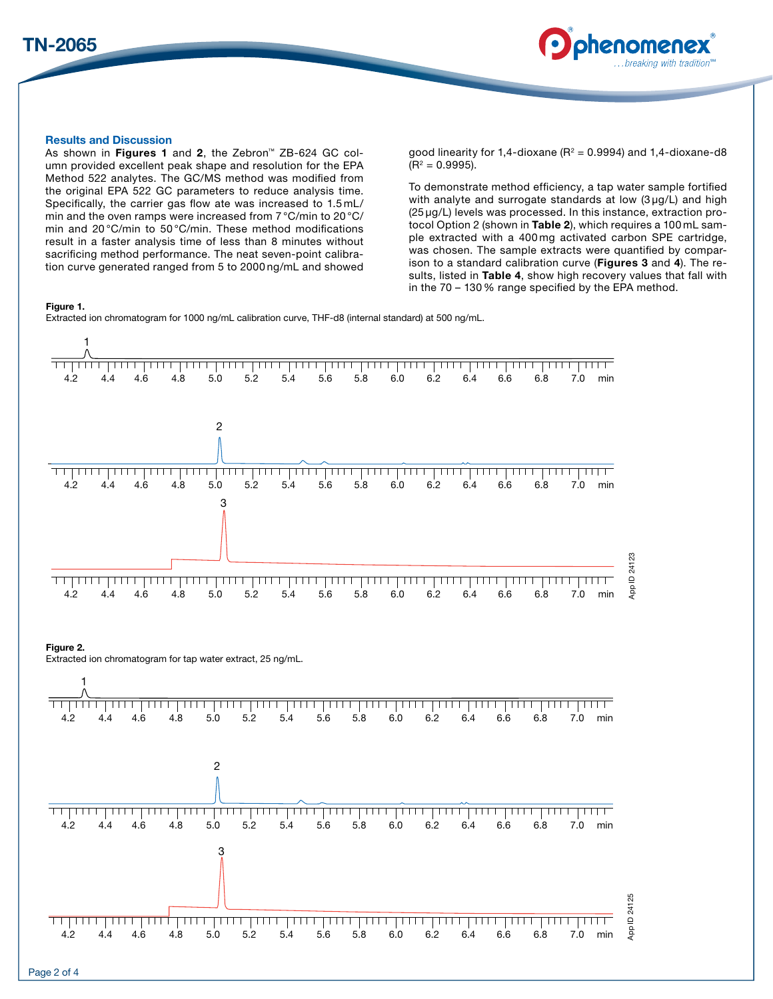



## Results and Discussion

As shown in Figures 1 and 2, the Zebron™ ZB-624 GC column provided excellent peak shape and resolution for the EPA Method 522 analytes. The GC/MS method was modified from the original EPA 522 GC parameters to reduce analysis time. Specifically, the carrier gas flow ate was increased to 1.5 mL/ min and the oven ramps were increased from 7 °C/min to 20 °C/ min and 20 °C/min to 50 °C/min. These method modifications result in a faster analysis time of less than 8 minutes without sacrificing method performance. The neat seven-point calibration curve generated ranged from 5 to 2000 ng/mL and showed

good linearity for 1,4-dioxane ( $R^2$  = 0.9994) and 1,4-dioxane-d8  $(R<sup>2</sup> = 0.9995).$ 

To demonstrate method efficiency, a tap water sample fortified with analyte and surrogate standards at low (3 µg/L) and high (25 µg/L) levels was processed. In this instance, extraction protocol Option 2 (shown in Table 2), which requires a 100 mL sample extracted with a 400 mg activated carbon SPE cartridge, was chosen. The sample extracts were quantified by comparison to a standard calibration curve (Figures 3 and 4). The results, listed in Table 4, show high recovery values that fall with in the 70 – 130% range specified by the EPA method.

#### Figure 1.

Extracted ion chromatogram for 1000 ng/mL calibration curve, THF-d8 (internal standard) at 500 ng/mL.

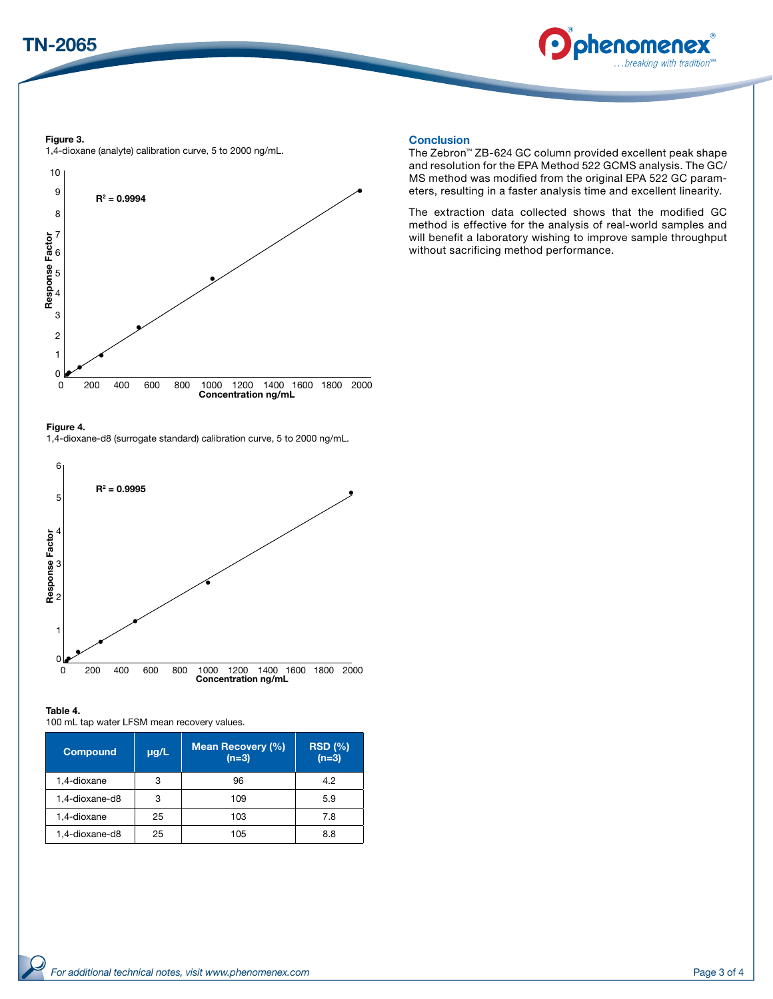



Figure 3. 1,4-dioxane (analyte) calibration curve, 5 to 2000 ng/mL.



#### Figure 4.

1,4-dioxane-d8 (surrogate standard) calibration curve, 5 to 2000 ng/mL.



#### Table 4.

100 mL tap water LFSM mean recovery values.

| <b>Compound</b> | $\mu$ g/L | <b>Mean Recovery (%)</b><br>$(n=3)$ | RSD(%)<br>$(n=3)$ |
|-----------------|-----------|-------------------------------------|-------------------|
| 1,4-dioxane     | 3         | 96                                  | 4.2               |
| 1,4-dioxane-d8  | 3         | 109                                 | 5.9               |
| 1,4-dioxane     | 25        | 103                                 | 7.8               |
| 1.4-dioxane-d8  | 25        | 105                                 | 8.8               |

#### **Conclusion**

The Zebron™ ZB-624 GC column provided excellent peak shape and resolution for the EPA Method 522 GCMS analysis. The GC/ MS method was modified from the original EPA 522 GC parameters, resulting in a faster analysis time and excellent linearity.

The extraction data collected shows that the modified GC method is effective for the analysis of real-world samples and will benefit a laboratory wishing to improve sample throughput without sacrificing method performance.